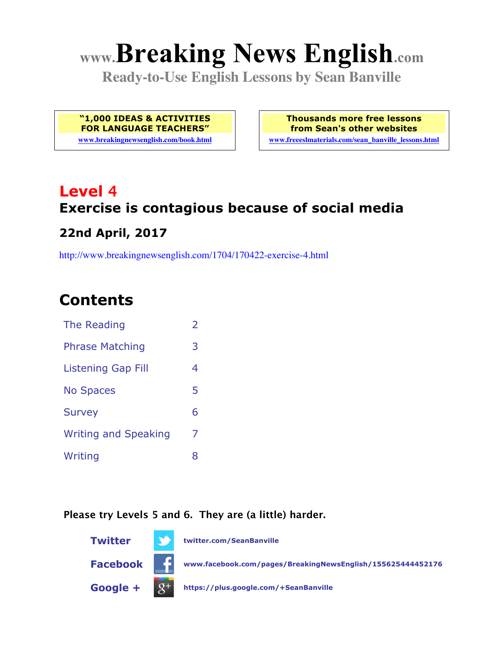# **www.Breaking News English.com**

**Ready-to-Use English Lessons by Sean Banville**

**"1,000 IDEAS & ACTIVITIES FOR LANGUAGE TEACHERS"**

**www.breakingnewsenglish.com/book.html**

**Thousands more free lessons from Sean's other websites www.freeeslmaterials.com/sean\_banville\_lessons.html**

### **Level 4 Exercise is contagious because of social media 22nd April, 2017**

http://www.breakingnewsenglish.com/1704/170422-exercise-4.html

### **Contents**

| The Reading                 | $\overline{\phantom{a}}$ |
|-----------------------------|--------------------------|
| <b>Phrase Matching</b>      | 3                        |
| <b>Listening Gap Fill</b>   | 4                        |
| <b>No Spaces</b>            | 5                        |
| <b>Survey</b>               | 6                        |
| <b>Writing and Speaking</b> | 7                        |
| Writing                     | 8                        |

#### **Please try Levels 5 and 6. They are (a little) harder.**

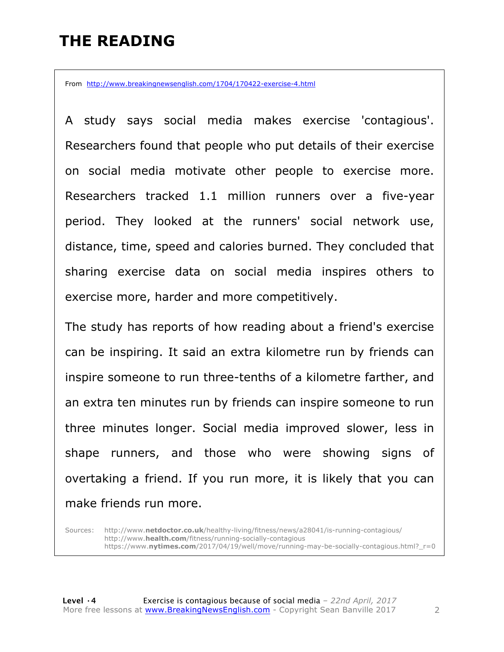### **THE READING**

From http://www.breakingnewsenglish.com/1704/170422-exercise-4.html

A study says social media makes exercise 'contagious'. Researchers found that people who put details of their exercise on social media motivate other people to exercise more. Researchers tracked 1.1 million runners over a five-year period. They looked at the runners' social network use, distance, time, speed and calories burned. They concluded that sharing exercise data on social media inspires others to exercise more, harder and more competitively.

The study has reports of how reading about a friend's exercise can be inspiring. It said an extra kilometre run by friends can inspire someone to run three-tenths of a kilometre farther, and an extra ten minutes run by friends can inspire someone to run three minutes longer. Social media improved slower, less in shape runners, and those who were showing signs of overtaking a friend. If you run more, it is likely that you can make friends run more.

Sources: http://www.**netdoctor.co.uk**/healthy-living/fitness/news/a28041/is-running-contagious/ http://www.**health.com**/fitness/running-socially-contagious https://www.**nytimes.com**/2017/04/19/well/move/running-may-be-socially-contagious.html?\_r=0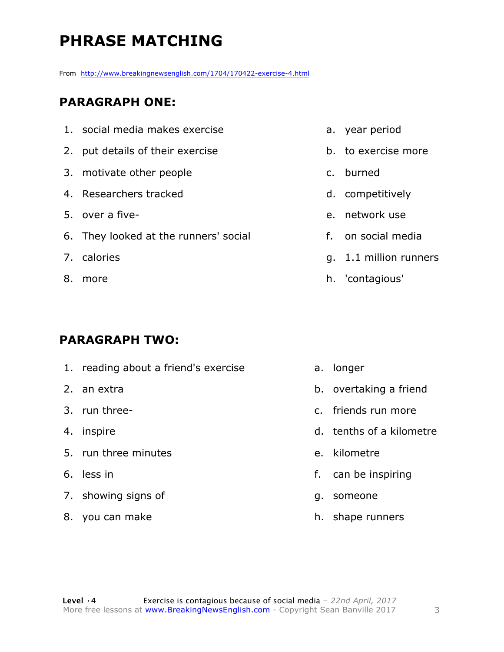## **PHRASE MATCHING**

From http://www.breakingnewsenglish.com/1704/170422-exercise-4.html

### **PARAGRAPH ONE:**

- 1. social media makes exercise
- 2. put details of their exercise
- 3. motivate other people
- 4. Researchers tracked
- 5. over a five-
- 6. They looked at the runners' social
- 7. calories
- 8. more

#### **PARAGRAPH TWO:**

- 1. reading about a friend's exercise
- 2. an extra
- 3. run three-
- 4. inspire
- 5. run three minutes
- 6. less in
- 7. showing signs of
- 8. you can make
- a. year period
- b. to exercise more
- c. burned
- d. competitively
- e. network use
- f. on social media
- g. 1.1 million runners
- h. 'contagious'

- a. longer
- b. overtaking a friend
- c. friends run more
- d. tenths of a kilometre
- e. kilometre
- f. can be inspiring
- g. someone
- h. shape runners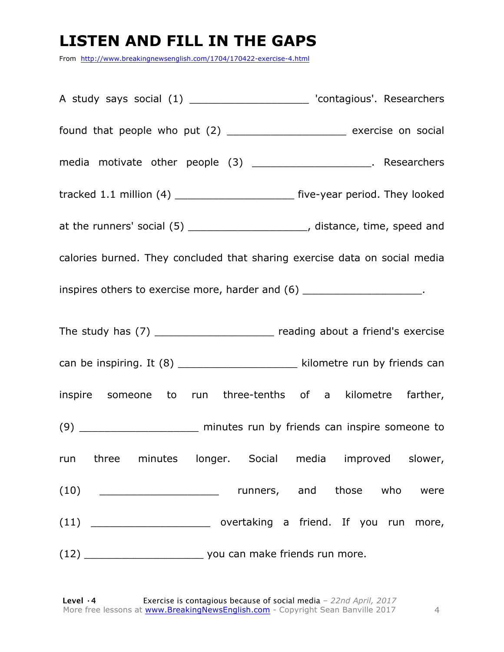### **LISTEN AND FILL IN THE GAPS**

From http://www.breakingnewsenglish.com/1704/170422-exercise-4.html

| A study says social (1) ______________________ 'contagious'. Researchers           |  |  |  |
|------------------------------------------------------------------------------------|--|--|--|
| found that people who put (2) __________________________ exercise on social        |  |  |  |
| media motivate other people (3) _______________________. Researchers               |  |  |  |
| tracked 1.1 million (4) ____________________________ five-year period. They looked |  |  |  |
| at the runners' social (5) ______________________, distance, time, speed and       |  |  |  |
| calories burned. They concluded that sharing exercise data on social media         |  |  |  |
| inspires others to exercise more, harder and (6) _______________________.          |  |  |  |
| The study has (7) ________________________ reading about a friend's exercise       |  |  |  |
| can be inspiring. It (8) __________________________ kilometre run by friends can   |  |  |  |
| inspire someone to run three-tenths of a kilometre farther,                        |  |  |  |
| (9) _______________________ minutes run by friends can inspire someone to          |  |  |  |
| run three minutes longer. Social media improved slower,                            |  |  |  |
|                                                                                    |  |  |  |
| (11) _________________________ overtaking a friend. If you run more,               |  |  |  |
|                                                                                    |  |  |  |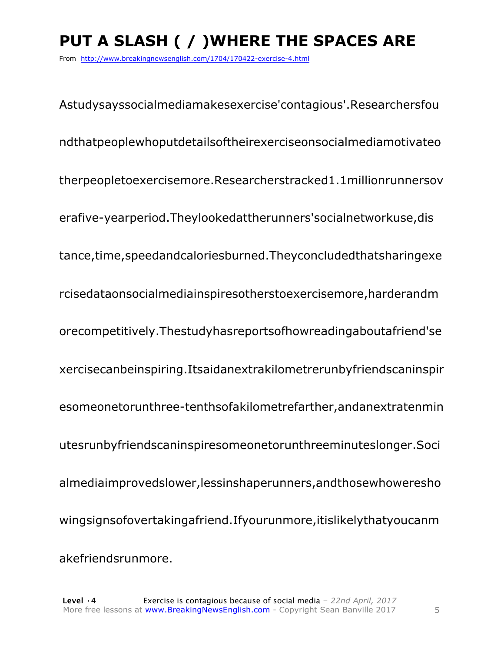## **PUT A SLASH ( / )WHERE THE SPACES ARE**

From http://www.breakingnewsenglish.com/1704/170422-exercise-4.html

Astudysayssocialmediamakesexercise'contagious'.Researchersfou ndthatpeoplewhoputdetailsoftheirexerciseonsocialmediamotivateo therpeopletoexercisemore.Researcherstracked1.1millionrunnersov erafive-yearperiod.Theylookedattherunners'socialnetworkuse,dis tance,time,speedandcaloriesburned.Theyconcludedthatsharingexe rcisedataonsocialmediainspiresotherstoexercisemore,harderandm orecompetitively.Thestudyhasreportsofhowreadingaboutafriend'se xercisecanbeinspiring.Itsaidanextrakilometrerunbyfriendscaninspir esomeonetorunthree-tenthsofakilometrefarther,andanextratenmin utesrunbyfriendscaninspiresomeonetorunthreeminuteslonger.Soci almediaimprovedslower,lessinshaperunners,andthosewhoweresho wingsignsofovertakingafriend.Ifyourunmore,itislikelythatyoucanm akefriendsrunmore.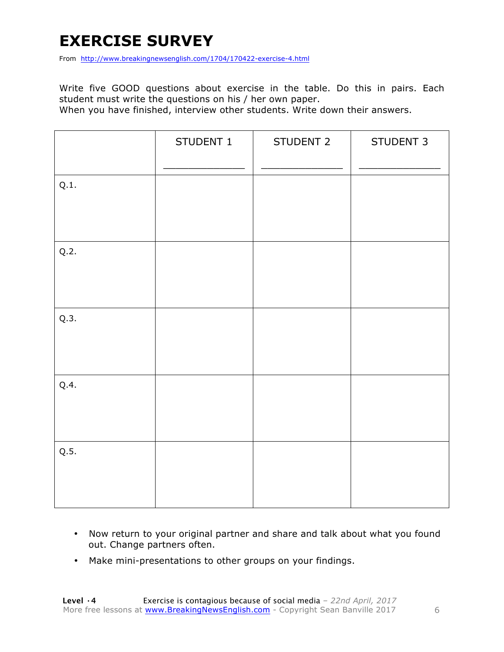### **EXERCISE SURVEY**

From http://www.breakingnewsenglish.com/1704/170422-exercise-4.html

Write five GOOD questions about exercise in the table. Do this in pairs. Each student must write the questions on his / her own paper.

When you have finished, interview other students. Write down their answers.

|      | STUDENT 1 | STUDENT 2 | STUDENT 3 |
|------|-----------|-----------|-----------|
| Q.1. |           |           |           |
| Q.2. |           |           |           |
| Q.3. |           |           |           |
| Q.4. |           |           |           |
| Q.5. |           |           |           |

- Now return to your original partner and share and talk about what you found out. Change partners often.
- Make mini-presentations to other groups on your findings.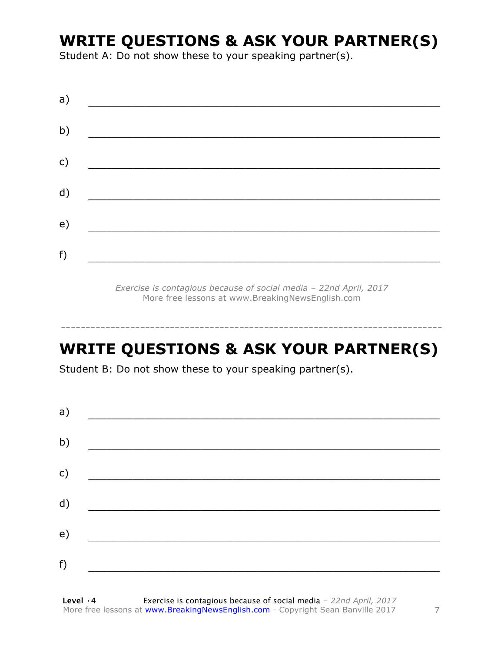### **WRITE QUESTIONS & ASK YOUR PARTNER(S)**

Student A: Do not show these to your speaking partner(s).

| a) |  |  |
|----|--|--|
| b) |  |  |
| c) |  |  |
| d) |  |  |
| e) |  |  |
| f) |  |  |
|    |  |  |

*Exercise is contagious because of social media – 22nd April, 2017* More free lessons at www.BreakingNewsEnglish.com

### **WRITE QUESTIONS & ASK YOUR PARTNER(S)**

-----------------------------------------------------------------------------

Student B: Do not show these to your speaking partner(s).

| a) |  |  |
|----|--|--|
| b) |  |  |
| c) |  |  |
| d) |  |  |
| e) |  |  |
| f) |  |  |
|    |  |  |